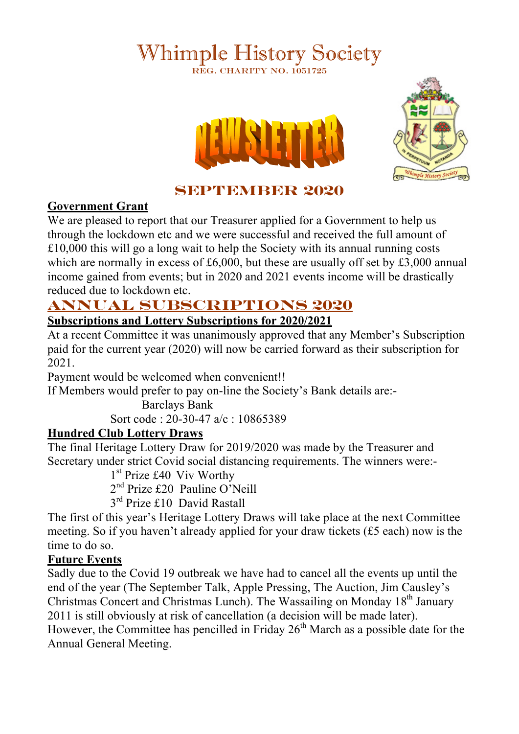# Whimple History Society REG. CHARITY NO. 1051725





# **SEPTEMBER 2020**

#### **Government Grant**

We are pleased to report that our Treasurer applied for a Government to help us through the lockdown etc and we were successful and received the full amount of £10,000 this will go a long wait to help the Society with its annual running costs which are normally in excess of £6,000, but these are usually off set by £3,000 annual income gained from events; but in 2020 and 2021 events income will be drastically reduced due to lockdown etc.

# **ANNUAL SUBSCRIPTIONS 2020**

### **Subscriptions and Lottery Subscriptions for 2020/2021**

At a recent Committee it was unanimously approved that any Member's Subscription paid for the current year (2020) will now be carried forward as their subscription for 2021.

Payment would be welcomed when convenient!!

If Members would prefer to pay on-line the Society's Bank details are:-

Barclays Bank Sort code : 20-30-47 a/c : 10865389

## **Hundred Club Lottery Draws**

The final Heritage Lottery Draw for 2019/2020 was made by the Treasurer and Secretary under strict Covid social distancing requirements. The winners were:-

1<sup>st</sup> Prize £40 Viv Worthy

2<sup>nd</sup> Prize £20 Pauline O'Neill

3<sup>rd</sup> Prize £10 David Rastall

The first of this year's Heritage Lottery Draws will take place at the next Committee meeting. So if you haven't already applied for your draw tickets (£5 each) now is the time to do so.

## **Future Events**

Sadly due to the Covid 19 outbreak we have had to cancel all the events up until the end of the year (The September Talk, Apple Pressing, The Auction, Jim Causley's Christmas Concert and Christmas Lunch). The Wassailing on Monday 18<sup>th</sup> January 2011 is still obviously at risk of cancellation (a decision will be made later). However, the Committee has pencilled in Friday  $26<sup>th</sup>$  March as a possible date for the Annual General Meeting.